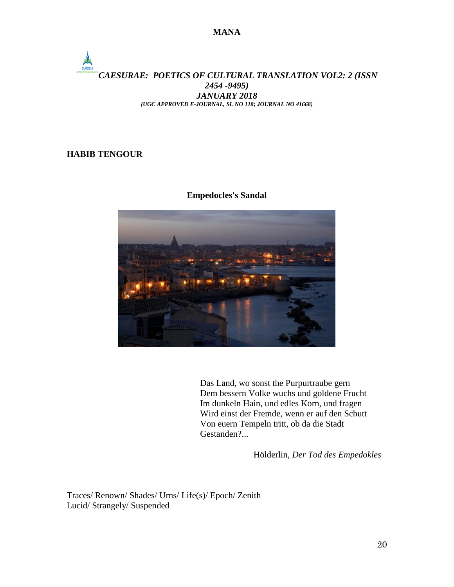### *CAESURAE: POETICS OF CULTURAL TRANSLATION VOL2: 2 (ISSN 2454 -9495) JANUARY 2018 (UGC APPROVED E-JOURNAL, SL NO 118; JOURNAL NO 41668)*

#### **HABIB TENGOUR**

 $\frac{1}{2}$ 

#### **Empedocles's Sandal**



Das Land, wo sonst the Purpurtraube gern Dem bessern Volke wuchs und goldene Frucht Im dunkeln Hain, und edles Korn, und fragen Wird einst der Fremde, wenn er auf den Schutt Von euern Tempeln tritt, ob da die Stadt Gestanden?...

Hölderlin, *Der Tod des Empedokles*

Traces/ Renown/ Shades/ Urns/ Life(s)/ Epoch/ Zenith Lucid/ Strangely/ Suspended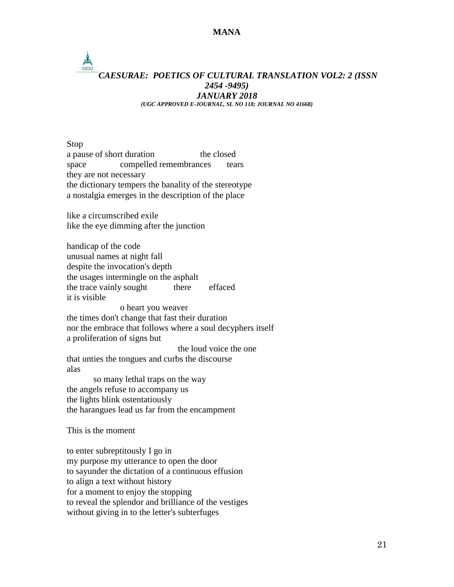### *CAESURAE: POETICS OF CULTURAL TRANSLATION VOL2: 2 (ISSN 2454 -9495) JANUARY 2018 (UGC APPROVED E-JOURNAL, SL NO 118; JOURNAL NO 41668)*

Stop a pause of short duration the closed space compelled remembrances tears they are not necessary the dictionary tempers the banality of the stereotype a nostalgia emerges in the description of the place

like a circumscribed exile like the eye dimming after the junction

 $\frac{1}{2}$ 

handicap of the code unusual names at night fall despite the invocation's depth the usages intermingle on the asphalt the trace vainly sought there effaced it is visible o heart you weaver the times don't change that fast their duration nor the embrace that follows where a soul decyphers itself a proliferation of signs but the loud voice the one that unties the tongues and curbs the discourse alas so many lethal traps on the way the angels refuse to accompany us the lights blink ostentatiously the harangues lead us far from the encampment This is the moment to enter subreptitously I go in my purpose my utterance to open the door to sayunder the dictation of a continuous effusion

to align a text without history for a moment to enjoy the stopping to reveal the splendor and brilliance of the vestiges without giving in to the letter's subterfuges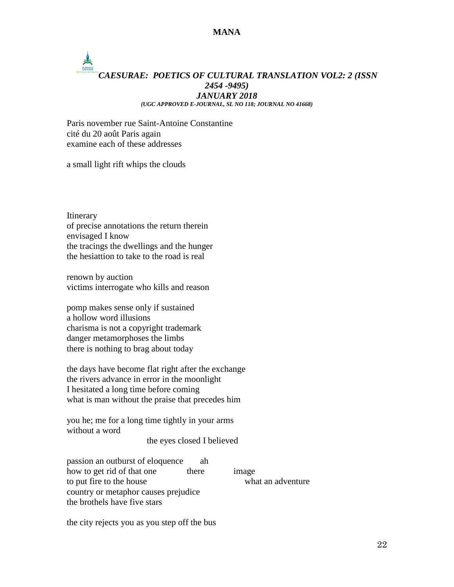# *CAESURAE: POETICS OF CULTURAL TRANSLATION VOL2: 2 (ISSN 2454 -9495) JANUARY 2018 (UGC APPROVED E-JOURNAL, SL NO 118; JOURNAL NO 41668)*

Paris november rue Saint-Antoine Constantine cité du 20 août Paris again examine each of these addresses

a small light rift whips the clouds

Itinerary of precise annotations the return therein envisaged I know the tracings the dwellings and the hunger the hesiattion to take to the road is real

renown by auction victims interrogate who kills and reason

pomp makes sense only if sustained a hollow word illusions charisma is not a copyright trademark danger metamorphoses the limbs there is nothing to brag about today

the days have become flat right after the exchange the rivers advance in error in the moonlight I hesitated a long time before coming what is man without the praise that precedes him

you he; me for a long time tightly in your arms without a word

the eyes closed I believed

passion an outburst of eloquence ah how to get rid of that one there image to put fire to the house what an adventure country or metaphor causes prejudice the brothels have five stars

the city rejects you as you step off the bus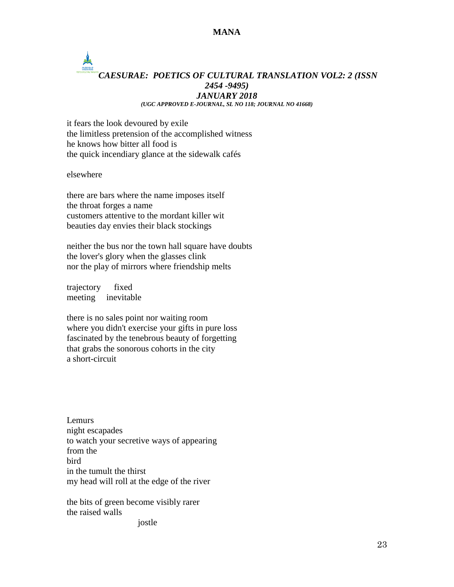## CAESURAE *CAESURAE: POETICS OF CULTURAL TRANSLATION VOL2: 2 (ISSN 2454 -9495) JANUARY 2018 (UGC APPROVED E-JOURNAL, SL NO 118; JOURNAL NO 41668)*

it fears the look devoured by exile the limitless pretension of the accomplished witness he knows how bitter all food is the quick incendiary glance at the sidewalk cafés

elsewhere

there are bars where the name imposes itself the throat forges a name customers attentive to the mordant killer wit beauties day envies their black stockings

neither the bus nor the town hall square have doubts the lover's glory when the glasses clink nor the play of mirrors where friendship melts

trajectory fixed meeting inevitable

there is no sales point nor waiting room where you didn't exercise your gifts in pure loss fascinated by the tenebrous beauty of forgetting that grabs the sonorous cohorts in the city a short-circuit

Lemurs night escapades to watch your secretive ways of appearing from the bird in the tumult the thirst my head will roll at the edge of the river

the bits of green become visibly rarer the raised walls

jostle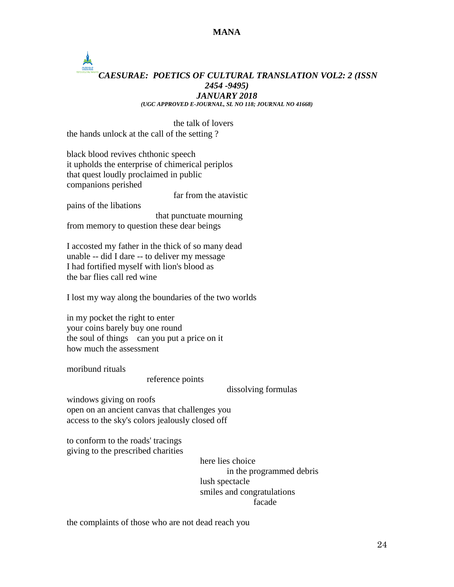## $\frac{1}{\sum_{n=1}^{N}x_{n}}$ *CAESURAE: POETICS OF CULTURAL TRANSLATION VOL2: 2 (ISSN 2454 -9495) JANUARY 2018 (UGC APPROVED E-JOURNAL, SL NO 118; JOURNAL NO 41668)*

the talk of lovers the hands unlock at the call of the setting ?

black blood revives chthonic speech it upholds the enterprise of chimerical periplos that quest loudly proclaimed in public companions perished

pains of the libations

far from the atavistic

 that punctuate mourning from memory to question these dear beings

I accosted my father in the thick of so many dead unable -- did I dare -- to deliver my message I had fortified myself with lion's blood as the bar flies call red wine

I lost my way along the boundaries of the two worlds

in my pocket the right to enter your coins barely buy one round the soul of things can you put a price on it how much the assessment

moribund rituals

reference points

dissolving formulas

windows giving on roofs open on an ancient canvas that challenges you access to the sky's colors jealously closed off

to conform to the roads' tracings giving to the prescribed charities

> here lies choice in the programmed debris lush spectacle smiles and congratulations facade

the complaints of those who are not dead reach you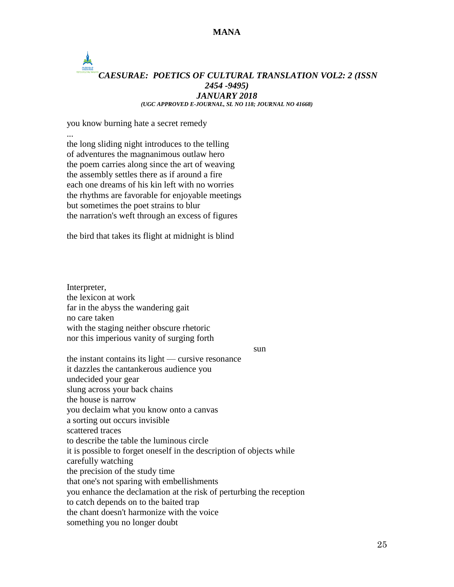# *CAESURAE: POETICS OF CULTURAL TRANSLATION VOL2: 2 (ISSN 2454 -9495) JANUARY 2018 (UGC APPROVED E-JOURNAL, SL NO 118; JOURNAL NO 41668)*

you know burning hate a secret remedy ...

the long sliding night introduces to the telling of adventures the magnanimous outlaw hero the poem carries along since the art of weaving the assembly settles there as if around a fire each one dreams of his kin left with no worries the rhythms are favorable for enjoyable meetings but sometimes the poet strains to blur the narration's weft through an excess of figures

the bird that takes its flight at midnight is blind

Interpreter, the lexicon at work far in the abyss the wandering gait no care taken with the staging neither obscure rhetoric nor this imperious vanity of surging forth

sun

the instant contains its light — cursive resonance it dazzles the cantankerous audience you undecided your gear slung across your back chains the house is narrow you declaim what you know onto a canvas a sorting out occurs invisible scattered traces to describe the table the luminous circle it is possible to forget oneself in the description of objects while carefully watching the precision of the study time that one's not sparing with embellishments you enhance the declamation at the risk of perturbing the reception to catch depends on to the baited trap the chant doesn't harmonize with the voice something you no longer doubt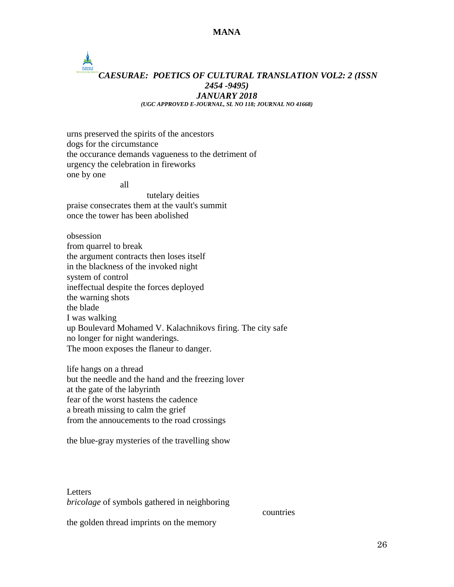## $\frac{1}{\sum_{n=1}^{N}x_{n}}$ *CAESURAE: POETICS OF CULTURAL TRANSLATION VOL2: 2 (ISSN 2454 -9495) JANUARY 2018 (UGC APPROVED E-JOURNAL, SL NO 118; JOURNAL NO 41668)*

urns preserved the spirits of the ancestors dogs for the circumstance the occurance demands vagueness to the detriment of urgency the celebration in fireworks one by one

all

tutelary deities praise consecrates them at the vault's summit once the tower has been abolished

obsession from quarrel to break the argument contracts then loses itself in the blackness of the invoked night system of control ineffectual despite the forces deployed the warning shots the blade I was walking up Boulevard Mohamed V. Kalachnikovs firing. The city safe no longer for night wanderings. The moon exposes the flaneur to danger.

life hangs on a thread but the needle and the hand and the freezing lover at the gate of the labyrinth fear of the worst hastens the cadence a breath missing to calm the grief from the annoucements to the road crossings

the blue-gray mysteries of the travelling show

**Letters** *bricolage* of symbols gathered in neighboring

countries

the golden thread imprints on the memory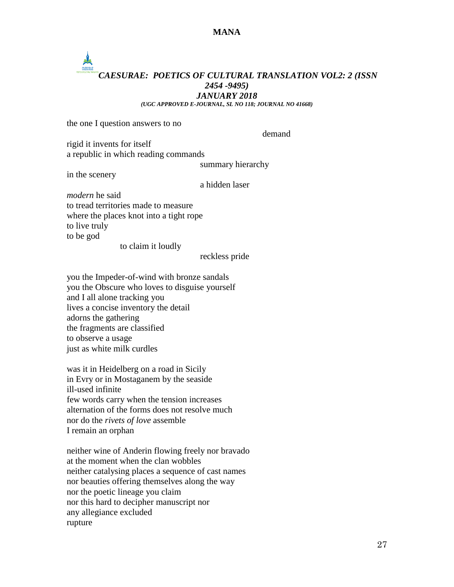## CAESURAE *CAESURAE: POETICS OF CULTURAL TRANSLATION VOL2: 2 (ISSN 2454 -9495) JANUARY 2018*

*(UGC APPROVED E-JOURNAL, SL NO 118; JOURNAL NO 41668)*

the one I question answers to no

demand

rigid it invents for itself a republic in which reading commands

summary hierarchy

in the scenery

a hidden laser

*modern* he said to tread territories made to measure where the places knot into a tight rope to live truly to be god

to claim it loudly

reckless pride

you the Impeder-of-wind with bronze sandals you the Obscure who loves to disguise yourself and I all alone tracking you lives a concise inventory the detail adorns the gathering the fragments are classified to observe a usage just as white milk curdles

was it in Heidelberg on a road in Sicily in Evry or in Mostaganem by the seaside ill-used infinite few words carry when the tension increases alternation of the forms does not resolve much nor do the *rivets of love* assemble I remain an orphan

neither wine of Anderin flowing freely nor bravado at the moment when the clan wobbles neither catalysing places a sequence of cast names nor beauties offering themselves along the way nor the poetic lineage you claim nor this hard to decipher manuscript nor any allegiance excluded rupture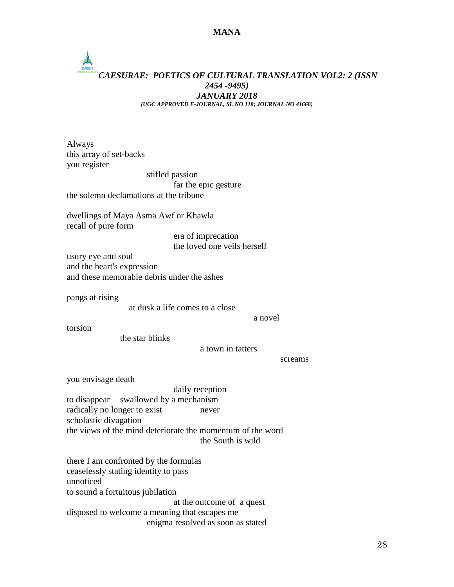

Always this array of set-backs you register stifled passion far the epic gesture the solemn declamations at the tribune dwellings of Maya Asma Awf or Khawla recall of pure form era of imprecation the loved one veils herself usury eye and soul and the heart's expression and these memorable debris under the ashes pangs at rising at dusk a life comes to a close a novel torsion the star blinks a town in tatters screams you envisage death daily reception to disappear swallowed by a mechanism radically no longer to exist never scholastic divagation the views of the mind deteriorate the momentum of the word the South is wild there I am confronted by the formulas ceaselessly stating identity to pass unnoticed to sound a fortuitous jubilation at the outcome of a quest disposed to welcome a meaning that escapes me enigma resolved as soon as stated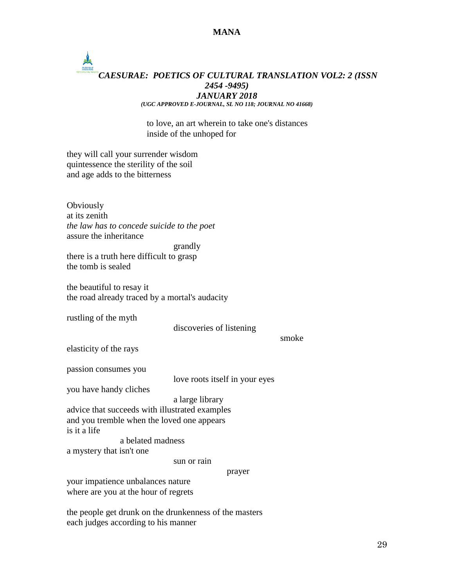## CAESURAE *CAESURAE: POETICS OF CULTURAL TRANSLATION VOL2: 2 (ISSN 2454 -9495) JANUARY 2018 (UGC APPROVED E-JOURNAL, SL NO 118; JOURNAL NO 41668)*

to love, an art wherein to take one's distances inside of the unhoped for

they will call your surrender wisdom quintessence the sterility of the soil and age adds to the bitterness

**Obviously** at its zenith *the law has to concede suicide to the poet* assure the inheritance grandly there is a truth here difficult to grasp the tomb is sealed the beautiful to resay it the road already traced by a mortal's audacity rustling of the myth discoveries of listening smoke elasticity of the rays passion consumes you love roots itself in your eyes you have handy cliches a large library advice that succeeds with illustrated examples and you tremble when the loved one appears is it a life a belated madness a mystery that isn't one sun or rain prayer your impatience unbalances nature where are you at the hour of regrets

the people get drunk on the drunkenness of the masters each judges according to his manner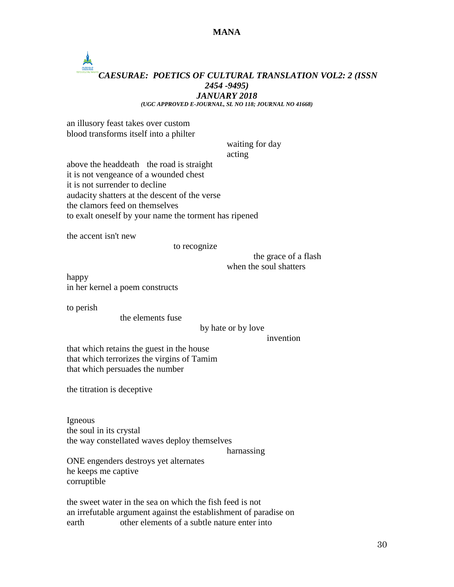## *CAESURAE: POETICS OF CULTURAL TRANSLATION VOL2: 2 (ISSN 2454 -9495) JANUARY 2018*

*(UGC APPROVED E-JOURNAL, SL NO 118; JOURNAL NO 41668)*

an illusory feast takes over custom blood transforms itself into a philter

waiting for day

acting

above the headdeath the road is straight it is not vengeance of a wounded chest it is not surrender to decline audacity shatters at the descent of the verse the clamors feed on themselves to exalt oneself by your name the torment has ripened

the accent isn't new

to recognize

the grace of a flash when the soul shatters

happy in her kernel a poem constructs

to perish

the elements fuse

#### by hate or by love

invention

that which retains the guest in the house that which terrorizes the virgins of Tamim that which persuades the number

the titration is deceptive

Igneous the soul in its crystal the way constellated waves deploy themselves

harnassing

ONE engenders destroys yet alternates he keeps me captive corruptible

the sweet water in the sea on which the fish feed is not an irrefutable argument against the establishment of paradise on earth other elements of a subtle nature enter into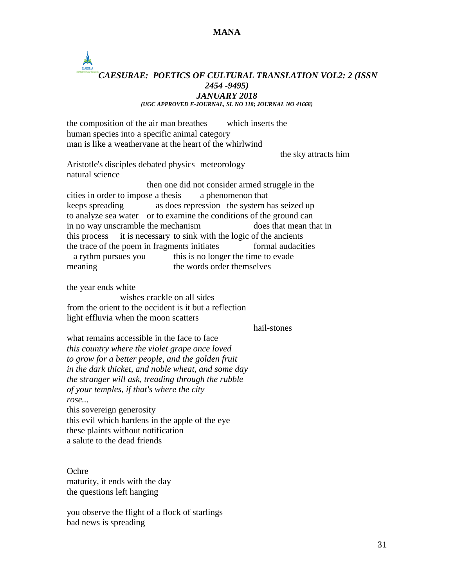## *CAESURAE: POETICS OF CULTURAL TRANSLATION VOL2: 2 (ISSN 2454 -9495) JANUARY 2018 (UGC APPROVED E-JOURNAL, SL NO 118; JOURNAL NO 41668)*

the composition of the air man breathes which inserts the human species into a specific animal category man is like a weathervane at the heart of the whirlwind the sky attracts him Aristotle's disciples debated physics meteorology natural science then one did not consider armed struggle in the cities in order to impose a thesis a phenomenon that keeps spreading as does repression the system has seized up to analyze sea water or to examine the conditions of the ground can in no way unscramble the mechanism does that mean that in this process it is necessary to sink with the logic of the ancients the trace of the poem in fragments initiates formal audacities a rythm pursues you this is no longer the time to evade meaning the words order themselves the year ends white wishes crackle on all sides from the orient to the occident is it but a reflection light effluvia when the moon scatters hail-stones what remains accessible in the face to face *this country where the violet grape once loved to grow for a better people, and the golden fruit in the dark thicket, and noble wheat, and some day the stranger will ask, treading through the rubble of your temples, if that's where the city rose...* this sovereign generosity this evil which hardens in the apple of the eye these plaints without notification

a salute to the dead friends

**Ochre** maturity, it ends with the day the questions left hanging

you observe the flight of a flock of starlings bad news is spreading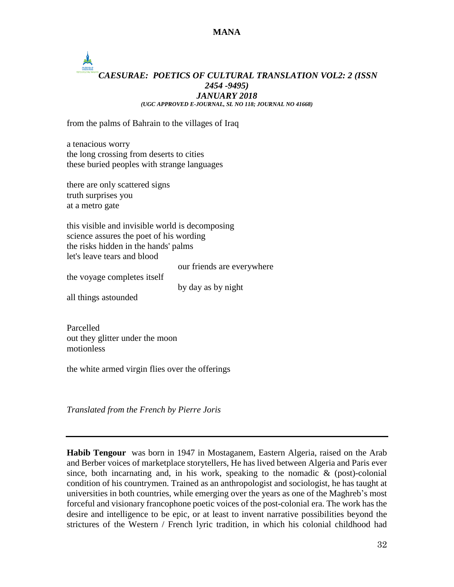# *CAESURAE: POETICS OF CULTURAL TRANSLATION VOL2: 2 (ISSN 2454 -9495) JANUARY 2018 (UGC APPROVED E-JOURNAL, SL NO 118; JOURNAL NO 41668)*

from the palms of Bahrain to the villages of Iraq

a tenacious worry the long crossing from deserts to cities these buried peoples with strange languages

there are only scattered signs truth surprises you at a metro gate

this visible and invisible world is decomposing science assures the poet of his wording the risks hidden in the hands' palms let's leave tears and blood

our friends are everywhere

the voyage completes itself

by day as by night

all things astounded

Parcelled out they glitter under the moon motionless

the white armed virgin flies over the offerings

*Translated from the French by Pierre Joris*

**Habib Tengour** was born in 1947 in Mostaganem, Eastern Algeria, raised on the Arab and Berber voices of marketplace storytellers, He has lived between Algeria and Paris ever since, both incarnating and, in his work, speaking to the nomadic  $\&$  (post)-colonial condition of his countrymen. Trained as an anthropologist and sociologist, he has taught at universities in both countries, while emerging over the years as one of the Maghreb's most forceful and visionary francophone poetic voices of the post-colonial era. The work has the desire and intelligence to be epic, or at least to invent narrative possibilities beyond the strictures of the Western / French lyric tradition, in which his colonial childhood had